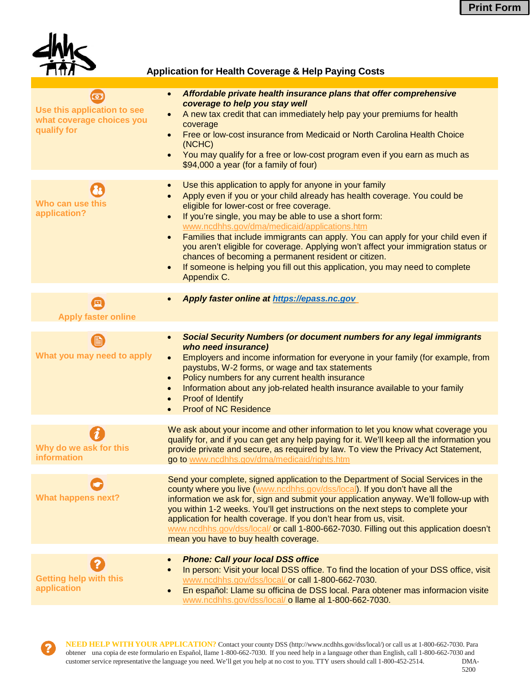

## **Application for Health Coverage & Help Paying Costs**

| ன<br>Use this application to see<br>what coverage choices you<br>qualify for | Affordable private health insurance plans that offer comprehensive<br>$\bullet$<br>coverage to help you stay well<br>A new tax credit that can immediately help pay your premiums for health<br>$\bullet$<br>coverage<br>Free or low-cost insurance from Medicaid or North Carolina Health Choice<br>$\bullet$<br>(NCHC)<br>You may qualify for a free or low-cost program even if you earn as much as<br>$\bullet$<br>\$94,000 a year (for a family of four)                                                                                           |
|------------------------------------------------------------------------------|---------------------------------------------------------------------------------------------------------------------------------------------------------------------------------------------------------------------------------------------------------------------------------------------------------------------------------------------------------------------------------------------------------------------------------------------------------------------------------------------------------------------------------------------------------|
|                                                                              | Use this application to apply for anyone in your family<br>$\bullet$                                                                                                                                                                                                                                                                                                                                                                                                                                                                                    |
| Who can use this<br>application?                                             | Apply even if you or your child already has health coverage. You could be<br>eligible for lower-cost or free coverage.<br>If you're single, you may be able to use a short form:<br>$\bullet$<br>www.ncdhhs.gov/dma/medicaid/applications.htm<br>Families that include immigrants can apply. You can apply for your child even if<br>$\bullet$                                                                                                                                                                                                          |
|                                                                              | you aren't eligible for coverage. Applying won't affect your immigration status or<br>chances of becoming a permanent resident or citizen.<br>If someone is helping you fill out this application, you may need to complete<br>$\bullet$<br>Appendix C.                                                                                                                                                                                                                                                                                                 |
|                                                                              | Apply faster online at https://epass.nc.gov                                                                                                                                                                                                                                                                                                                                                                                                                                                                                                             |
| 回<br><b>Apply faster online</b>                                              |                                                                                                                                                                                                                                                                                                                                                                                                                                                                                                                                                         |
|                                                                              | <b>Social Security Numbers (or document numbers for any legal immigrants</b><br>$\bullet$                                                                                                                                                                                                                                                                                                                                                                                                                                                               |
| What you may need to apply                                                   | who need insurance)<br>Employers and income information for everyone in your family (for example, from<br>$\bullet$<br>paystubs, W-2 forms, or wage and tax statements<br>Policy numbers for any current health insurance<br>$\bullet$<br>Information about any job-related health insurance available to your family<br>Proof of Identify<br>$\bullet$<br><b>Proof of NC Residence</b>                                                                                                                                                                 |
|                                                                              | We ask about your income and other information to let you know what coverage you                                                                                                                                                                                                                                                                                                                                                                                                                                                                        |
| Why do we ask for this<br>information                                        | qualify for, and if you can get any help paying for it. We'll keep all the information you<br>provide private and secure, as required by law. To view the Privacy Act Statement,<br>go to www.ncdhhs.gov/dma/medicaid/rights.htm                                                                                                                                                                                                                                                                                                                        |
| <b>What happens next?</b>                                                    | Send your complete, signed application to the Department of Social Services in the<br>county where you live (www.ncdhhs.gov/dss/local). If you don't have all the<br>information we ask for, sign and submit your application anyway. We'll follow-up with<br>you within 1-2 weeks. You'll get instructions on the next steps to complete your<br>application for health coverage. If you don't hear from us, visit.<br>www.ncdhhs.gov/dss/local/ or call 1-800-662-7030. Filling out this application doesn't<br>mean you have to buy health coverage. |
|                                                                              | <b>Phone: Call your local DSS office</b><br>$\bullet$                                                                                                                                                                                                                                                                                                                                                                                                                                                                                                   |
| <b>Getting help with this</b><br>application                                 | In person: Visit your local DSS office. To find the location of your DSS office, visit<br>$\bullet$<br>www.ncdhhs.gov/dss/local/ or call 1-800-662-7030.<br>En español: Llame su officina de DSS local. Para obtener mas informacion visite<br>$\bullet$<br>www.ncdhhs.gov/dss/local/ o llame al 1-800-662-7030.                                                                                                                                                                                                                                        |

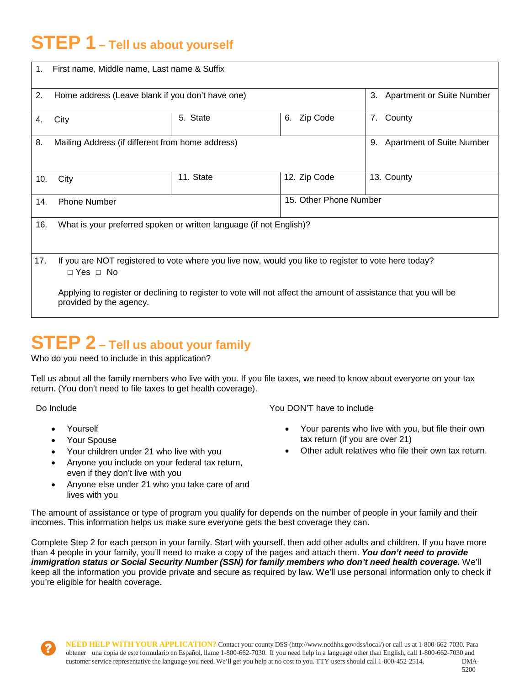# **STEP 1 – Tell us about yourself**

| 1.  | First name, Middle name, Last name & Suffix                                                                                                |           |                        |                                        |  |  |  |  |  |  |
|-----|--------------------------------------------------------------------------------------------------------------------------------------------|-----------|------------------------|----------------------------------------|--|--|--|--|--|--|
| 2.  | Home address (Leave blank if you don't have one)                                                                                           |           |                        | <b>Apartment or Suite Number</b><br>3. |  |  |  |  |  |  |
| 4.  | City                                                                                                                                       | 5. State  | Zip Code<br>6.         | County<br>7.                           |  |  |  |  |  |  |
| 8.  | Mailing Address (if different from home address)                                                                                           |           |                        | 9. Apartment of Suite Number           |  |  |  |  |  |  |
| 10. | City                                                                                                                                       | 11. State | 12. Zip Code           | 13. County                             |  |  |  |  |  |  |
| 14. | <b>Phone Number</b>                                                                                                                        |           | 15. Other Phone Number |                                        |  |  |  |  |  |  |
| 16. | What is your preferred spoken or written language (if not English)?                                                                        |           |                        |                                        |  |  |  |  |  |  |
| 17. | If you are NOT registered to vote where you live now, would you like to register to vote here today?<br>$\Box$ Yes $\Box$ No               |           |                        |                                        |  |  |  |  |  |  |
|     | Applying to register or declining to register to vote will not affect the amount of assistance that you will be<br>provided by the agency. |           |                        |                                        |  |  |  |  |  |  |

# **STEP 2 – Tell us about your family**

Who do you need to include in this application?

Tell us about all the family members who live with you. If you file taxes, we need to know about everyone on your tax return. (You don't need to file taxes to get health coverage).

Do Include

- Yourself
- Your Spouse
- Your children under 21 who live with you
- Anyone you include on your federal tax return, even if they don't live with you
- Anyone else under 21 who you take care of and lives with you

You DON'T have to include

- Your parents who live with you, but file their own tax return (if you are over 21)
- Other adult relatives who file their own tax return.

The amount of assistance or type of program you qualify for depends on the number of people in your family and their incomes. This information helps us make sure everyone gets the best coverage they can.

Complete Step 2 for each person in your family. Start with yourself, then add other adults and children. If you have more than 4 people in your family, you'll need to make a copy of the pages and attach them. *You don't need to provide immigration status or Social Security Number (SSN) for family members who don't need health coverage.* We'll keep all the information you provide private and secure as required by law. We'll use personal information only to check if you're eligible for health coverage.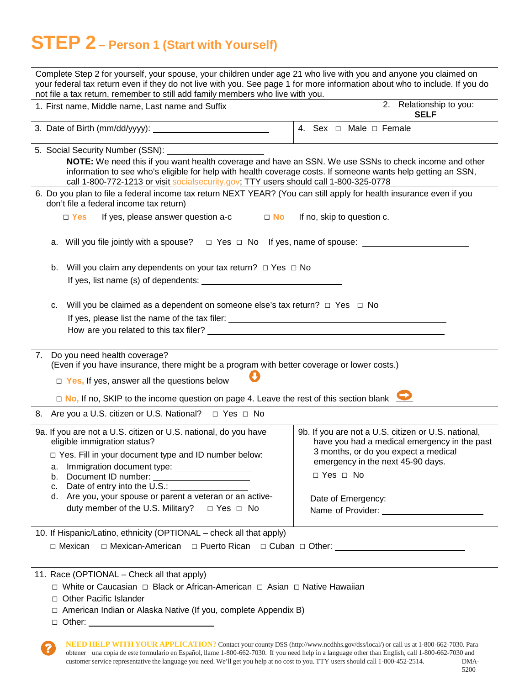# **STEP 2 – Person 1 (Start with Yourself)**

| Complete Step 2 for yourself, your spouse, your children under age 21 who live with you and anyone you claimed on<br>your federal tax return even if they do not live with you. See page 1 for more information about who to include. If you do<br>not file a tax return, remember to still add family members who live with you.                                                                                      |                                                                                                                                                                                                                                       |  |  |  |  |  |  |  |  |  |
|------------------------------------------------------------------------------------------------------------------------------------------------------------------------------------------------------------------------------------------------------------------------------------------------------------------------------------------------------------------------------------------------------------------------|---------------------------------------------------------------------------------------------------------------------------------------------------------------------------------------------------------------------------------------|--|--|--|--|--|--|--|--|--|
| 1. First name, Middle name, Last name and Suffix                                                                                                                                                                                                                                                                                                                                                                       | Relationship to you:<br>2.<br><b>SELF</b>                                                                                                                                                                                             |  |  |  |  |  |  |  |  |  |
|                                                                                                                                                                                                                                                                                                                                                                                                                        | 4. Sex $\Box$ Male $\Box$ Female                                                                                                                                                                                                      |  |  |  |  |  |  |  |  |  |
| NOTE: We need this if you want health coverage and have an SSN. We use SSNs to check income and other<br>information to see who's eligible for help with health coverage costs. If someone wants help getting an SSN,<br>call 1-800-772-1213 or visit socialsecurity.gov. TTY users should call 1-800-325-0778                                                                                                         |                                                                                                                                                                                                                                       |  |  |  |  |  |  |  |  |  |
| 6. Do you plan to file a federal income tax return NEXT YEAR? (You can still apply for health insurance even if you<br>don't file a federal income tax return)                                                                                                                                                                                                                                                         |                                                                                                                                                                                                                                       |  |  |  |  |  |  |  |  |  |
| If yes, please answer question a-c $\Box$ No<br>$\Box$ Yes                                                                                                                                                                                                                                                                                                                                                             | If no, skip to question c.                                                                                                                                                                                                            |  |  |  |  |  |  |  |  |  |
| a. Will you file jointly with a spouse? $\Box$ Yes $\Box$ No If yes, name of spouse: ___________________                                                                                                                                                                                                                                                                                                               |                                                                                                                                                                                                                                       |  |  |  |  |  |  |  |  |  |
| b.                                                                                                                                                                                                                                                                                                                                                                                                                     | Will you claim any dependents on your tax return? $\Box$ Yes $\Box$ No                                                                                                                                                                |  |  |  |  |  |  |  |  |  |
| Will you be claimed as a dependent on someone else's tax return? $\Box$ Yes $\Box$ No<br>c.<br>How are you related to this tax filer? Letter and the state of the state of the state of the state of the state of the state of the state of the state of the state of the state of the state of the state of the state of the                                                                                          |                                                                                                                                                                                                                                       |  |  |  |  |  |  |  |  |  |
| 7. Do you need health coverage?<br>(Even if you have insurance, there might be a program with better coverage or lower costs.)<br>$\Box$ Yes, If yes, answer all the questions below<br>□ No, If no, SKIP to the income question on page 4. Leave the rest of this section blank                                                                                                                                       |                                                                                                                                                                                                                                       |  |  |  |  |  |  |  |  |  |
| 8. Are you a U.S. citizen or U.S. National? □ Yes □ No                                                                                                                                                                                                                                                                                                                                                                 |                                                                                                                                                                                                                                       |  |  |  |  |  |  |  |  |  |
| 9a. If you are not a U.S. citizen or U.S. national, do you have<br>eligible immigration status?<br>$\Box$ Yes. Fill in your document type and ID number below:<br>a. Immigration document type: __________________<br>Document ID number:<br>b.<br>Date of entry into the U.S.: <u>contained</u><br>C.<br>d. Are you, your spouse or parent a veteran or an active-<br>duty member of the U.S. Military?<br>□ Yes □ No | 9b. If you are not a U.S. citizen or U.S. national,<br>have you had a medical emergency in the past<br>3 months, or do you expect a medical<br>emergency in the next 45-90 days.<br>□ Yes □ No<br>Name of Provider: Name of Provider: |  |  |  |  |  |  |  |  |  |
| 10. If Hispanic/Latino, ethnicity (OPTIONAL - check all that apply)<br>$\Box$ Mexican<br>□ Mexican-American □ Puerto Rican □ Cuban □ Other: ____________________________                                                                                                                                                                                                                                               |                                                                                                                                                                                                                                       |  |  |  |  |  |  |  |  |  |
| 11. Race (OPTIONAL - Check all that apply)<br>□ White or Caucasian □ Black or African-American □ Asian □ Native Hawaiian<br>□ Other Pacific Islander                                                                                                                                                                                                                                                                   |                                                                                                                                                                                                                                       |  |  |  |  |  |  |  |  |  |

- □ American Indian or Alaska Native (If you, complete Appendix B)
- □ Other:
	- **NEED HELP WITH YOUR APPLICATION?** Contact your county DSS [\(http://www.ncdhhs.gov/dss/local/\)](http://www.ncdhhs.gov/dss/local/)) or call us at 1-800-662-7030. Para obtener una copia de este formulario en Español, llame 1-800-662-7030. If you need help in a language other than English, call 1-800-662-7030 and customerservice representative the language you need. We'll get you help at no cost to you. TTY users should call 1-800-452-2514. DMA-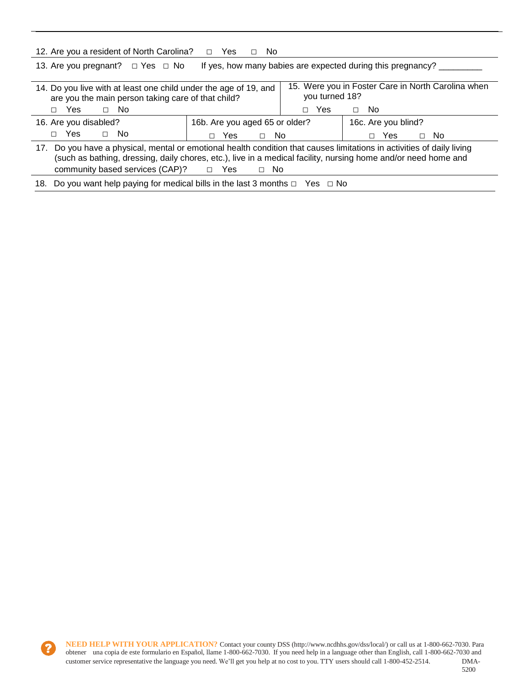| 12. Are you a resident of North Carolina?                                                                                                                                                                                                                                                                          | Yes<br>No.<br>$\Box$<br>П.                                           |                 |                     |           |  |  |  |  |
|--------------------------------------------------------------------------------------------------------------------------------------------------------------------------------------------------------------------------------------------------------------------------------------------------------------------|----------------------------------------------------------------------|-----------------|---------------------|-----------|--|--|--|--|
| If yes, how many babies are expected during this pregnancy?<br>13. Are you pregnant? $\Box$ Yes $\Box$ No                                                                                                                                                                                                          |                                                                      |                 |                     |           |  |  |  |  |
| 14. Do you live with at least one child under the age of 19, and<br>are you the main person taking care of that child?                                                                                                                                                                                             | 15. Were you in Foster Care in North Carolina when<br>you turned 18? |                 |                     |           |  |  |  |  |
| Yes<br>$\Box$ No<br>П.                                                                                                                                                                                                                                                                                             |                                                                      | <b>Yes</b><br>П | - No<br>$\Box$      |           |  |  |  |  |
| 16. Are you disabled?                                                                                                                                                                                                                                                                                              | 16b. Are you aged 65 or older?                                       |                 | 16c. Are you blind? |           |  |  |  |  |
| Yes<br>$\Box$ No<br>П.                                                                                                                                                                                                                                                                                             | No.<br>Yes<br>$\Box$<br>п                                            |                 | Yes.                | $\Box$ No |  |  |  |  |
| 17. Do you have a physical, mental or emotional health condition that causes limitations in activities of daily living<br>(such as bathing, dressing, daily chores, etc.), live in a medical facility, nursing home and/or need home and<br>community based services $(CAP)$ ? $\square$<br>- Yes<br>No.<br>$\Box$ |                                                                      |                 |                     |           |  |  |  |  |
| 18. Do you want help paying for medical bills in the last 3 months $\Box$ Yes $\Box$ No                                                                                                                                                                                                                            |                                                                      |                 |                     |           |  |  |  |  |

2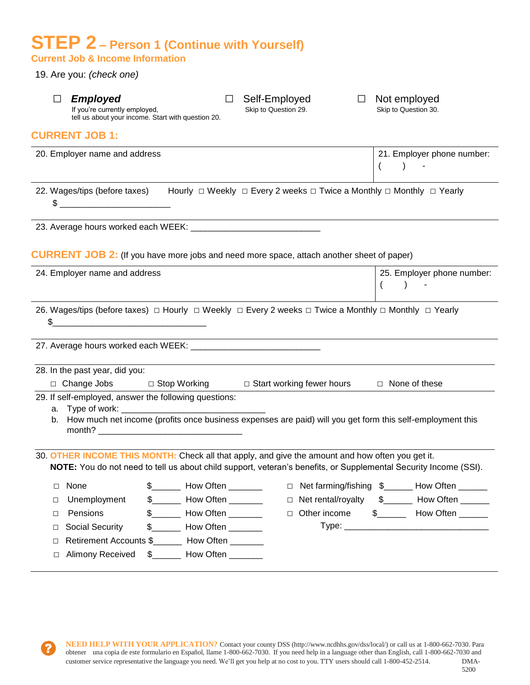## **STEP 2 – Person 1 (Continue with Yourself) Current Job & Income Information**

19. Are you: *(check one)*

| П                               | <b>Employed</b><br>If you're currently employed,                        | tell us about your income. Start with question 20.                                                                                                                                                                                | П | Self-Employed<br>Skip to Question 29.                                                                                                                                                                                | $\perp$ | Not employed<br>Skip to Question 30.                                                          |
|---------------------------------|-------------------------------------------------------------------------|-----------------------------------------------------------------------------------------------------------------------------------------------------------------------------------------------------------------------------------|---|----------------------------------------------------------------------------------------------------------------------------------------------------------------------------------------------------------------------|---------|-----------------------------------------------------------------------------------------------|
|                                 | <b>CURRENT JOB 1:</b>                                                   |                                                                                                                                                                                                                                   |   |                                                                                                                                                                                                                      |         |                                                                                               |
|                                 | 20. Employer name and address                                           |                                                                                                                                                                                                                                   |   |                                                                                                                                                                                                                      |         | 21. Employer phone number:<br>$\overline{ }$                                                  |
|                                 |                                                                         |                                                                                                                                                                                                                                   |   | 22. Wages/tips (before taxes) Hourly □ Weekly □ Every 2 weeks □ Twice a Monthly □ Monthly □ Yearly                                                                                                                   |         |                                                                                               |
|                                 |                                                                         |                                                                                                                                                                                                                                   |   |                                                                                                                                                                                                                      |         |                                                                                               |
|                                 |                                                                         |                                                                                                                                                                                                                                   |   | <b>CURRENT JOB 2:</b> (If you have more jobs and need more space, attach another sheet of paper)                                                                                                                     |         |                                                                                               |
|                                 | 24. Employer name and address                                           |                                                                                                                                                                                                                                   |   |                                                                                                                                                                                                                      |         | 25. Employer phone number:<br>$\left($                                                        |
| \$                              |                                                                         |                                                                                                                                                                                                                                   |   | 26. Wages/tips (before taxes) $\Box$ Hourly $\Box$ Weekly $\Box$ Every 2 weeks $\Box$ Twice a Monthly $\Box$ Monthly $\Box$ Yearly                                                                                   |         |                                                                                               |
|                                 |                                                                         |                                                                                                                                                                                                                                   |   |                                                                                                                                                                                                                      |         |                                                                                               |
|                                 | 28. In the past year, did you:                                          |                                                                                                                                                                                                                                   |   |                                                                                                                                                                                                                      |         |                                                                                               |
|                                 |                                                                         |                                                                                                                                                                                                                                   |   | □ Change Jobs □ Stop Working □ Start working fewer hours □ None of these                                                                                                                                             |         |                                                                                               |
|                                 | 29. If self-employed, answer the following questions:                   |                                                                                                                                                                                                                                   |   | b. How much net income (profits once business expenses are paid) will you get form this self-employment this                                                                                                         |         |                                                                                               |
|                                 |                                                                         |                                                                                                                                                                                                                                   |   | 30. OTHER INCOME THIS MONTH: Check all that apply, and give the amount and how often you get it.<br>NOTE: You do not need to tell us about child support, veteran's benefits, or Supplemental Security Income (SSI). |         |                                                                                               |
| □<br>□<br>□<br>$\Box$<br>□<br>□ | None<br>Unemployment<br>Pensions<br>Social Security<br>Alimony Received | \$ ______ How Often _________<br>\$__________ How Often _________<br>\$ ________ How Often ________<br>\$__________ How Often _________<br>Retirement Accounts \$_________ How Often ________<br>\$__________ How Often _________ |   | $\Box$<br>$\Box$<br>Other income<br>$\Box$                                                                                                                                                                           |         | Net farming/fishing \$______ How Often ______<br>Net rental/royalty \$______ How Often ______ |
|                                 |                                                                         |                                                                                                                                                                                                                                   |   |                                                                                                                                                                                                                      |         |                                                                                               |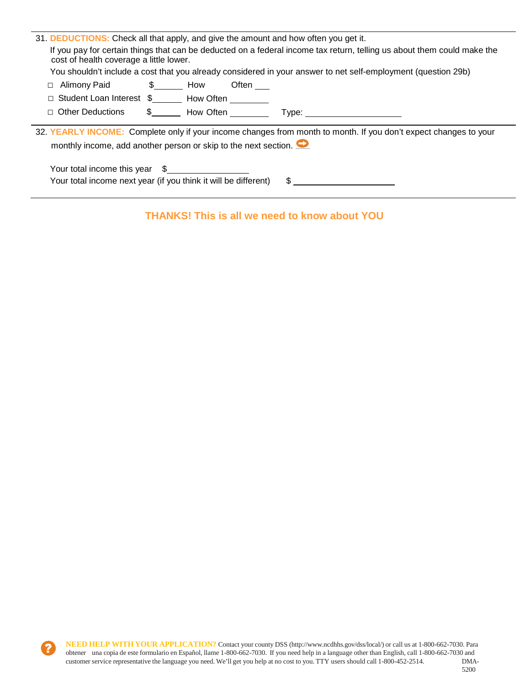| 31. <b>DEDUCTIONS:</b> Check all that apply, and give the amount and how often you get it.<br>If you pay for certain things that can be deducted on a federal income tax return, telling us about them could make the |
|-----------------------------------------------------------------------------------------------------------------------------------------------------------------------------------------------------------------------|
| cost of health coverage a little lower.                                                                                                                                                                               |
| You shouldn't include a cost that you already considered in your answer to net self-employment (question 29b)                                                                                                         |
| $\frac{1}{2}$ Bow<br>Often<br>Alimony Paid<br>$\Box$                                                                                                                                                                  |
| Student Loan Interest \$________ How Often                                                                                                                                                                            |
| $\Box$ Other Deductions<br>$\frac{1}{2}$ How Often<br>Type: __________                                                                                                                                                |
| 32. YEARLY INCOME: Complete only if your income changes from month to month. If you don't expect changes to your                                                                                                      |
| monthly income, add another person or skip to the next section. $\bullet$                                                                                                                                             |
| Your total income this year \$<br>Your total income next year (if you think it will be different)<br>\$                                                                                                               |

## **THANKS! This is all we need to know about YOU**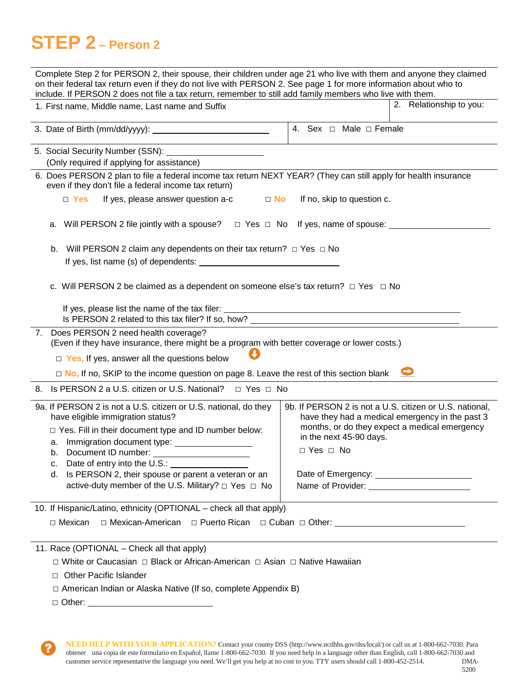# **STEP 2 – Person 2**

| Complete Step 2 for PERSON 2, their spouse, their children under age 21 who live with them and anyone they claimed<br>on their federal tax return even if they do not live with PERSON 2. See page 1 for more information about who to<br>include. If PERSON 2 does not file a tax return, remember to still add family members who live with them. |                                                                                                                                                                                                                |  |  |  |  |  |  |  |  |
|-----------------------------------------------------------------------------------------------------------------------------------------------------------------------------------------------------------------------------------------------------------------------------------------------------------------------------------------------------|----------------------------------------------------------------------------------------------------------------------------------------------------------------------------------------------------------------|--|--|--|--|--|--|--|--|
| 1. First name, Middle name, Last name and Suffix                                                                                                                                                                                                                                                                                                    | 2. Relationship to you:                                                                                                                                                                                        |  |  |  |  |  |  |  |  |
|                                                                                                                                                                                                                                                                                                                                                     | 4. Sex $\Box$ Male $\Box$ Female                                                                                                                                                                               |  |  |  |  |  |  |  |  |
| 5. Social Security Number (SSN): ________________________<br>(Only required if applying for assistance)<br>6. Does PERSON 2 plan to file a federal income tax return NEXT YEAR? (They can still apply for health insurance                                                                                                                          |                                                                                                                                                                                                                |  |  |  |  |  |  |  |  |
| even if they don't file a federal income tax return)<br>$\Box$ Yes<br>If yes, please answer question a-c<br>$\Box$ No                                                                                                                                                                                                                               | If no, skip to question c.                                                                                                                                                                                     |  |  |  |  |  |  |  |  |
| a. Will PERSON 2 file jointly with a spouse? $\Box$ Yes $\Box$ No If yes, name of spouse: $\Box$<br>Will PERSON 2 claim any dependents on their tax return? $\Box$ Yes $\Box$ No<br>b.                                                                                                                                                              |                                                                                                                                                                                                                |  |  |  |  |  |  |  |  |
| c. Will PERSON 2 be claimed as a dependent on someone else's tax return? $\Box$ Yes $\Box$ No<br>Is PERSON 2 related to this tax filer? If so, how? _____________________________                                                                                                                                                                   |                                                                                                                                                                                                                |  |  |  |  |  |  |  |  |
| 7. Does PERSON 2 need health coverage?<br>(Even if they have insurance, there might be a program with better coverage or lower costs.)<br>$\Box$ Yes, If yes, answer all the questions below<br>$\Box$ No, If no, SKIP to the income question on page 8. Leave the rest of this section blank                                                       |                                                                                                                                                                                                                |  |  |  |  |  |  |  |  |
| 8. Is PERSON 2 a U.S. citizen or U.S. National? □ Yes □ No                                                                                                                                                                                                                                                                                          |                                                                                                                                                                                                                |  |  |  |  |  |  |  |  |
| 9a. If PERSON 2 is not a U.S. citizen or U.S. national, do they<br>have eligible immigration status?<br>□ Yes. Fill in their document type and ID number below:<br>Immigration document type:<br>а.<br>Document ID number:<br>b.<br>Date of entry into the U.S.:<br>с.<br>Is PERSON 2, their spouse or parent a veteran or an<br>d.                 | 9b. If PERSON 2 is not a U.S. citizen or U.S. national,<br>have they had a medical emergency in the past 3<br>months, or do they expect a medical emergency<br>in the next 45-90 days.<br>$\Box$ Yes $\Box$ No |  |  |  |  |  |  |  |  |
| active-duty member of the U.S. Military? □ Yes □ No                                                                                                                                                                                                                                                                                                 | Name of Provider: Name of Provider:                                                                                                                                                                            |  |  |  |  |  |  |  |  |
| 10. If Hispanic/Latino, ethnicity (OPTIONAL - check all that apply)<br>$\Box$ Mexican                                                                                                                                                                                                                                                               | □ Mexican-American □ Puerto Rican □ Cuban □ Other: ____________________________                                                                                                                                |  |  |  |  |  |  |  |  |
| 11. Race (OPTIONAL – Check all that apply)<br>□ White or Caucasian □ Black or African-American □ Asian □ Native Hawaiian<br><b>Other Pacific Islander</b><br>$\Box$<br>$\Box$ American Indian or Alaska Native (If so, complete Appendix B)                                                                                                         |                                                                                                                                                                                                                |  |  |  |  |  |  |  |  |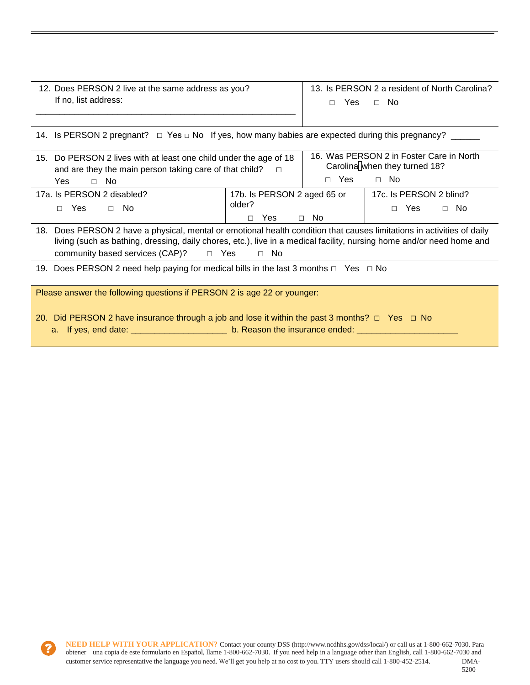| 12. Does PERSON 2 live at the same address as you? | 13. Is PERSON 2 a resident of North Carolina? |  |  |  |  |  |
|----------------------------------------------------|-----------------------------------------------|--|--|--|--|--|
| If no, list address:                               | Yes<br>- No<br>П.                             |  |  |  |  |  |

|  | 14. Is PERSON 2 pregnant? $\Box$ Yes $\Box$ No If yes, how many babies are expected during this pregnancy? |
|--|------------------------------------------------------------------------------------------------------------|
|  |                                                                                                            |

| 15. Do PERSON 2 lives with at least one child under the age of 18<br>and are they the main person taking care of that child? | 16. Was PERSON 2 in Foster Care in North<br>Carolina when they turned 18? |      |                                                  |  |
|------------------------------------------------------------------------------------------------------------------------------|---------------------------------------------------------------------------|------|--------------------------------------------------|--|
| Yes<br>No.<br>$\Box$                                                                                                         | $\Box$ Yes                                                                | ⊟ No |                                                  |  |
| 17a. Is PERSON 2 disabled?<br>$\Box$ No<br>Yes                                                                               | 17b. Is PERSON 2 aged 65 or<br>older?<br>Yes                              | No.  | 17c. Is PERSON 2 blind?<br>No.<br>Yes.<br>$\Box$ |  |

| 18. Does PERSON 2 have a physical, mental or emotional health condition that causes limitations in activities of daily |  |      |  |  |  |
|------------------------------------------------------------------------------------------------------------------------|--|------|--|--|--|
| living (such as bathing, dressing, daily chores, etc.), live in a medical facility, nursing home and/or need home and  |  |      |  |  |  |
| community based services $(CAP)$ ? $\Box$ Yes                                                                          |  | ⊟ No |  |  |  |

19. Does PERSON 2 need help paying for medical bills in the last 3 months  $□$  Yes  $□$  No

Please answer the following questions if PERSON 2 is age 22 or younger:

- 20. Did PERSON 2 have insurance through a job and lose it within the past 3 months?  $\Box$  Yes  $\Box$  No
	- a. If yes, end date: \_\_\_\_\_\_\_\_\_\_\_\_\_\_\_\_\_\_\_\_\_\_\_\_\_ b. Reason the insurance ended: \_\_\_\_\_\_\_\_\_\_\_\_\_\_\_\_\_\_\_\_\_\_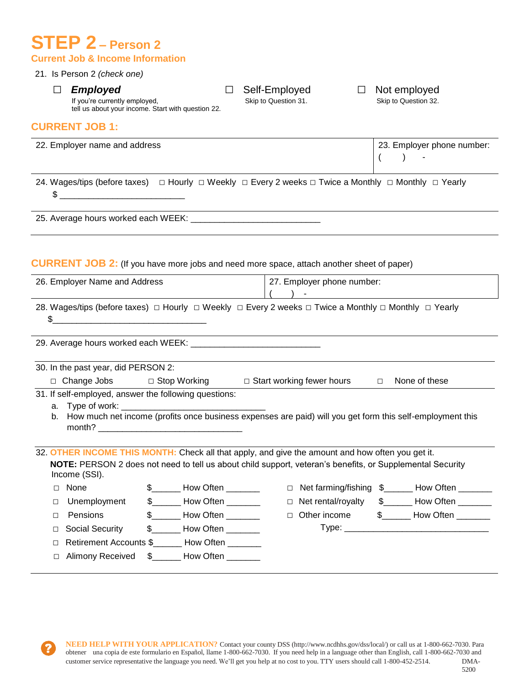## **STEP 2 – Person 2 Current Job & Income Information**

#### 21. Is Person 2 *(check one)*

□ *Employed* □ Self-Employed □ Not employed<br>If you're currently employed, Skip to Question 31. Skip to Question 32.

tell us about your income. Start with question 22.

### **CURRENT JOB 1:**

| 22. Employer name and address |                                          | 23. Employer phone number: |  |
|-------------------------------|------------------------------------------|----------------------------|--|
|                               | $\begin{array}{cccc} \hline \end{array}$ |                            |  |

24. Wages/tips (before taxes) □ Hourly □ Weekly □ Every 2 weeks □ Twice a Monthly □ Monthly □ Yearly  $\frac{1}{2}$   $\frac{1}{2}$   $\frac{1}{2}$   $\frac{1}{2}$   $\frac{1}{2}$   $\frac{1}{2}$   $\frac{1}{2}$   $\frac{1}{2}$   $\frac{1}{2}$   $\frac{1}{2}$   $\frac{1}{2}$   $\frac{1}{2}$   $\frac{1}{2}$   $\frac{1}{2}$   $\frac{1}{2}$   $\frac{1}{2}$   $\frac{1}{2}$   $\frac{1}{2}$   $\frac{1}{2}$   $\frac{1}{2}$   $\frac{1}{2}$   $\frac{1}{2}$ 

25. Average hours worked each WEEK: \_\_\_\_\_\_\_\_\_\_\_\_\_\_\_\_\_\_\_\_\_\_\_\_\_\_\_

### **CURRENT JOB 2:** (If you have more jobs and need more space, attach another sheet of paper)

| 26. Employer Name and Address |                                                                                                                                    | 27. Employer phone number: |                                   |  |        |                           |  |                                                                                                              |
|-------------------------------|------------------------------------------------------------------------------------------------------------------------------------|----------------------------|-----------------------------------|--|--------|---------------------------|--|--------------------------------------------------------------------------------------------------------------|
|                               |                                                                                                                                    |                            |                                   |  |        |                           |  |                                                                                                              |
|                               | 28. Wages/tips (before taxes) $\Box$ Hourly $\Box$ Weekly $\Box$ Every 2 weeks $\Box$ Twice a Monthly $\Box$ Monthly $\Box$ Yearly |                            |                                   |  |        |                           |  |                                                                                                              |
| \$                            | <u> 1980 - John Stein, Amerikaansk politiker (</u>                                                                                 |                            |                                   |  |        |                           |  |                                                                                                              |
|                               |                                                                                                                                    |                            |                                   |  |        |                           |  |                                                                                                              |
|                               |                                                                                                                                    |                            |                                   |  |        |                           |  |                                                                                                              |
|                               | 30. In the past year, did PERSON 2:                                                                                                |                            |                                   |  |        |                           |  |                                                                                                              |
|                               | □ Change Jobs □ Stop Working □ Start working fewer hours □ None of these                                                           |                            |                                   |  |        |                           |  |                                                                                                              |
|                               | 31. If self-employed, answer the following questions:                                                                              |                            |                                   |  |        |                           |  |                                                                                                              |
|                               |                                                                                                                                    |                            |                                   |  |        |                           |  |                                                                                                              |
|                               |                                                                                                                                    |                            |                                   |  |        |                           |  | b. How much net income (profits once business expenses are paid) will you get form this self-employment this |
|                               |                                                                                                                                    |                            |                                   |  |        |                           |  |                                                                                                              |
|                               | 32. OTHER INCOME THIS MONTH: Check all that apply, and give the amount and how often you get it.                                   |                            |                                   |  |        |                           |  |                                                                                                              |
|                               | NOTE: PERSON 2 does not need to tell us about child support, veteran's benefits, or Supplemental Security<br>Income (SSI).         |                            |                                   |  |        |                           |  |                                                                                                              |
| п                             | None                                                                                                                               |                            | \$ ________ How Often ________    |  | $\Box$ |                           |  | Net farming/fishing \$______ How Often ______                                                                |
| □                             | Unemployment                                                                                                                       |                            | $\frac{1}{2}$ How Often _________ |  |        | $\Box$ Net rental/royalty |  | \$________ How Often _______                                                                                 |
| П                             | Pensions                                                                                                                           |                            | $\frac{1}{2}$ How Often ________  |  | $\Box$ |                           |  | Other income \$_______ How Often ______                                                                      |
| $\Box$                        | Social Security                                                                                                                    |                            | $\frac{1}{2}$ How Often           |  |        |                           |  |                                                                                                              |
| П                             | Retirement Accounts \$_______ How Often _______                                                                                    |                            |                                   |  |        |                           |  |                                                                                                              |
| П                             | Alimony Received                                                                                                                   |                            | \$ How Often                      |  |        |                           |  |                                                                                                              |
|                               |                                                                                                                                    |                            |                                   |  |        |                           |  |                                                                                                              |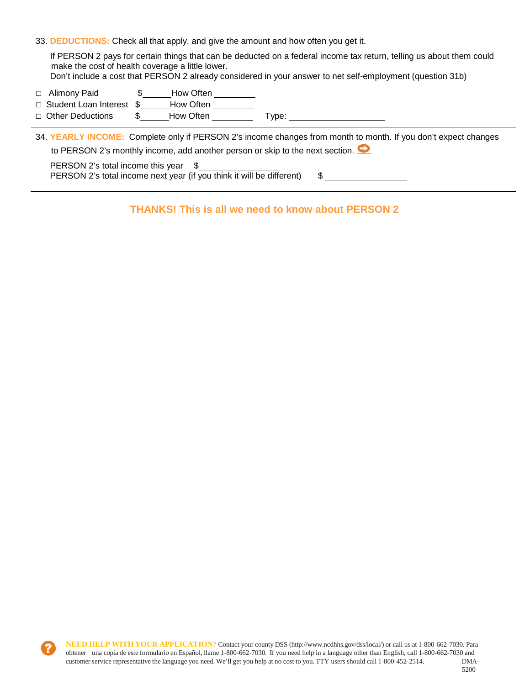33. **DEDUCTIONS:** Check all that apply, and give the amount and how often you get it.

If PERSON 2 pays for certain things that can be deducted on a federal income tax return, telling us about them could make the cost of health coverage a little lower.

- Don't include a cost that PERSON 2 already considered in your answer to net self-employment (question 31b)
- □ Alimony Paid **\$** How Often
- □ Student Loan Interest \$ \_\_\_\_\_\_How Often
- □ Other Deductions \$\_\_\_\_\_\_How Often \_\_\_\_\_\_\_\_\_\_ Type: \_

34. **YEARLY INCOME:** Complete only if PERSON 2's income changes from month to month. If you don't expect changes to PERSON 2's monthly income, add another person or skip to the next section.

PERSON 2's total income this year \$ PERSON 2's total income next year (if you think it will be different) \$

**THANKS! This is all we need to know about PERSON 2**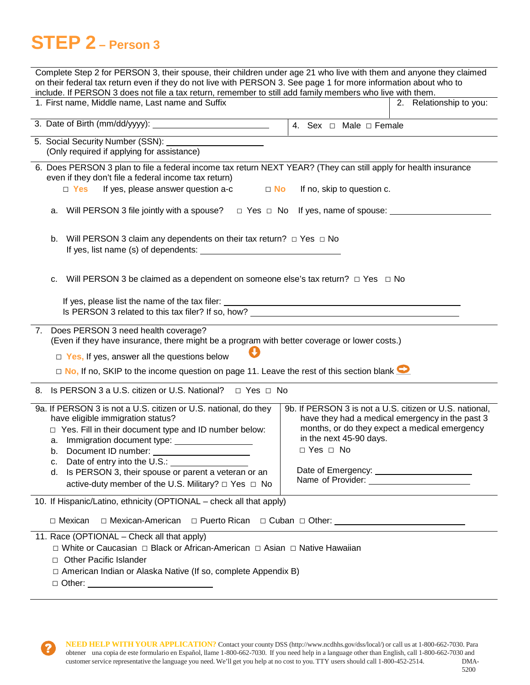# **STEP 2 – Person 3**

| on their federal tax return even if they do not live with PERSON 3. See page 1 for more information about who to<br>include. If PERSON 3 does not file a tax return, remember to still add family members who live with them.<br>1. First name, Middle name, Last name and Suffix<br>2. Relationship to you:<br>5. Social Security Number (SSN): _______________________<br>(Only required if applying for assistance)<br>6. Does PERSON 3 plan to file a federal income tax return NEXT YEAR? (They can still apply for health insurance<br>even if they don't file a federal income tax return)<br>If yes, please answer question a-c<br>$\Box$ Yes<br>$\Box$ No<br>If no, skip to question c.<br>a. Will PERSON 3 file jointly with a spouse? $\Box$ Yes $\Box$ No If yes, name of spouse: $\Box$<br>Will PERSON 3 claim any dependents on their tax return? $\Box$ Yes $\Box$ No<br>b.<br>Will PERSON 3 be claimed as a dependent on someone else's tax return? $\Box$ Yes $\Box$ No<br>c.<br>Is PERSON 3 related to this tax filer? If so, how? <u>example and the set of the set of the set of the set of the set of the set of the set of the set of the set of the set of the set of the set of the set of the set of the </u><br>7. Does PERSON 3 need health coverage?<br>(Even if they have insurance, there might be a program with better coverage or lower costs.)<br>$\Box$ Yes, If yes, answer all the questions below<br>$\Box$ No, If no, SKIP to the income question on page 11. Leave the rest of this section blank $\Box$<br>8. Is PERSON 3 a U.S. citizen or U.S. National?<br>$\Box$ Yes $\Box$ No<br>9a. If PERSON 3 is not a U.S. citizen or U.S. national, do they<br>9b. If PERSON 3 is not a U.S. citizen or U.S. national,<br>have they had a medical emergency in the past 3<br>have eligible immigration status?<br>months, or do they expect a medical emergency<br>□ Yes. Fill in their document type and ID number below:<br>in the next 45-90 days.<br>□ Yes □ No<br>Document ID number:<br>b.<br>Date of entry into the U.S.:<br>c. |  |  |  |  |
|--------------------------------------------------------------------------------------------------------------------------------------------------------------------------------------------------------------------------------------------------------------------------------------------------------------------------------------------------------------------------------------------------------------------------------------------------------------------------------------------------------------------------------------------------------------------------------------------------------------------------------------------------------------------------------------------------------------------------------------------------------------------------------------------------------------------------------------------------------------------------------------------------------------------------------------------------------------------------------------------------------------------------------------------------------------------------------------------------------------------------------------------------------------------------------------------------------------------------------------------------------------------------------------------------------------------------------------------------------------------------------------------------------------------------------------------------------------------------------------------------------------------------------------------------------------------------------------------------------------------------------------------------------------------------------------------------------------------------------------------------------------------------------------------------------------------------------------------------------------------------------------------------------------------------------------------------------------------------------------------------------------------------------------------------------------------------|--|--|--|--|
|                                                                                                                                                                                                                                                                                                                                                                                                                                                                                                                                                                                                                                                                                                                                                                                                                                                                                                                                                                                                                                                                                                                                                                                                                                                                                                                                                                                                                                                                                                                                                                                                                                                                                                                                                                                                                                                                                                                                                                                                                                                                          |  |  |  |  |
|                                                                                                                                                                                                                                                                                                                                                                                                                                                                                                                                                                                                                                                                                                                                                                                                                                                                                                                                                                                                                                                                                                                                                                                                                                                                                                                                                                                                                                                                                                                                                                                                                                                                                                                                                                                                                                                                                                                                                                                                                                                                          |  |  |  |  |
|                                                                                                                                                                                                                                                                                                                                                                                                                                                                                                                                                                                                                                                                                                                                                                                                                                                                                                                                                                                                                                                                                                                                                                                                                                                                                                                                                                                                                                                                                                                                                                                                                                                                                                                                                                                                                                                                                                                                                                                                                                                                          |  |  |  |  |
|                                                                                                                                                                                                                                                                                                                                                                                                                                                                                                                                                                                                                                                                                                                                                                                                                                                                                                                                                                                                                                                                                                                                                                                                                                                                                                                                                                                                                                                                                                                                                                                                                                                                                                                                                                                                                                                                                                                                                                                                                                                                          |  |  |  |  |
|                                                                                                                                                                                                                                                                                                                                                                                                                                                                                                                                                                                                                                                                                                                                                                                                                                                                                                                                                                                                                                                                                                                                                                                                                                                                                                                                                                                                                                                                                                                                                                                                                                                                                                                                                                                                                                                                                                                                                                                                                                                                          |  |  |  |  |
|                                                                                                                                                                                                                                                                                                                                                                                                                                                                                                                                                                                                                                                                                                                                                                                                                                                                                                                                                                                                                                                                                                                                                                                                                                                                                                                                                                                                                                                                                                                                                                                                                                                                                                                                                                                                                                                                                                                                                                                                                                                                          |  |  |  |  |
|                                                                                                                                                                                                                                                                                                                                                                                                                                                                                                                                                                                                                                                                                                                                                                                                                                                                                                                                                                                                                                                                                                                                                                                                                                                                                                                                                                                                                                                                                                                                                                                                                                                                                                                                                                                                                                                                                                                                                                                                                                                                          |  |  |  |  |
|                                                                                                                                                                                                                                                                                                                                                                                                                                                                                                                                                                                                                                                                                                                                                                                                                                                                                                                                                                                                                                                                                                                                                                                                                                                                                                                                                                                                                                                                                                                                                                                                                                                                                                                                                                                                                                                                                                                                                                                                                                                                          |  |  |  |  |
|                                                                                                                                                                                                                                                                                                                                                                                                                                                                                                                                                                                                                                                                                                                                                                                                                                                                                                                                                                                                                                                                                                                                                                                                                                                                                                                                                                                                                                                                                                                                                                                                                                                                                                                                                                                                                                                                                                                                                                                                                                                                          |  |  |  |  |
|                                                                                                                                                                                                                                                                                                                                                                                                                                                                                                                                                                                                                                                                                                                                                                                                                                                                                                                                                                                                                                                                                                                                                                                                                                                                                                                                                                                                                                                                                                                                                                                                                                                                                                                                                                                                                                                                                                                                                                                                                                                                          |  |  |  |  |
|                                                                                                                                                                                                                                                                                                                                                                                                                                                                                                                                                                                                                                                                                                                                                                                                                                                                                                                                                                                                                                                                                                                                                                                                                                                                                                                                                                                                                                                                                                                                                                                                                                                                                                                                                                                                                                                                                                                                                                                                                                                                          |  |  |  |  |
|                                                                                                                                                                                                                                                                                                                                                                                                                                                                                                                                                                                                                                                                                                                                                                                                                                                                                                                                                                                                                                                                                                                                                                                                                                                                                                                                                                                                                                                                                                                                                                                                                                                                                                                                                                                                                                                                                                                                                                                                                                                                          |  |  |  |  |
|                                                                                                                                                                                                                                                                                                                                                                                                                                                                                                                                                                                                                                                                                                                                                                                                                                                                                                                                                                                                                                                                                                                                                                                                                                                                                                                                                                                                                                                                                                                                                                                                                                                                                                                                                                                                                                                                                                                                                                                                                                                                          |  |  |  |  |
|                                                                                                                                                                                                                                                                                                                                                                                                                                                                                                                                                                                                                                                                                                                                                                                                                                                                                                                                                                                                                                                                                                                                                                                                                                                                                                                                                                                                                                                                                                                                                                                                                                                                                                                                                                                                                                                                                                                                                                                                                                                                          |  |  |  |  |
|                                                                                                                                                                                                                                                                                                                                                                                                                                                                                                                                                                                                                                                                                                                                                                                                                                                                                                                                                                                                                                                                                                                                                                                                                                                                                                                                                                                                                                                                                                                                                                                                                                                                                                                                                                                                                                                                                                                                                                                                                                                                          |  |  |  |  |
|                                                                                                                                                                                                                                                                                                                                                                                                                                                                                                                                                                                                                                                                                                                                                                                                                                                                                                                                                                                                                                                                                                                                                                                                                                                                                                                                                                                                                                                                                                                                                                                                                                                                                                                                                                                                                                                                                                                                                                                                                                                                          |  |  |  |  |
|                                                                                                                                                                                                                                                                                                                                                                                                                                                                                                                                                                                                                                                                                                                                                                                                                                                                                                                                                                                                                                                                                                                                                                                                                                                                                                                                                                                                                                                                                                                                                                                                                                                                                                                                                                                                                                                                                                                                                                                                                                                                          |  |  |  |  |
|                                                                                                                                                                                                                                                                                                                                                                                                                                                                                                                                                                                                                                                                                                                                                                                                                                                                                                                                                                                                                                                                                                                                                                                                                                                                                                                                                                                                                                                                                                                                                                                                                                                                                                                                                                                                                                                                                                                                                                                                                                                                          |  |  |  |  |
|                                                                                                                                                                                                                                                                                                                                                                                                                                                                                                                                                                                                                                                                                                                                                                                                                                                                                                                                                                                                                                                                                                                                                                                                                                                                                                                                                                                                                                                                                                                                                                                                                                                                                                                                                                                                                                                                                                                                                                                                                                                                          |  |  |  |  |
|                                                                                                                                                                                                                                                                                                                                                                                                                                                                                                                                                                                                                                                                                                                                                                                                                                                                                                                                                                                                                                                                                                                                                                                                                                                                                                                                                                                                                                                                                                                                                                                                                                                                                                                                                                                                                                                                                                                                                                                                                                                                          |  |  |  |  |
|                                                                                                                                                                                                                                                                                                                                                                                                                                                                                                                                                                                                                                                                                                                                                                                                                                                                                                                                                                                                                                                                                                                                                                                                                                                                                                                                                                                                                                                                                                                                                                                                                                                                                                                                                                                                                                                                                                                                                                                                                                                                          |  |  |  |  |
|                                                                                                                                                                                                                                                                                                                                                                                                                                                                                                                                                                                                                                                                                                                                                                                                                                                                                                                                                                                                                                                                                                                                                                                                                                                                                                                                                                                                                                                                                                                                                                                                                                                                                                                                                                                                                                                                                                                                                                                                                                                                          |  |  |  |  |
|                                                                                                                                                                                                                                                                                                                                                                                                                                                                                                                                                                                                                                                                                                                                                                                                                                                                                                                                                                                                                                                                                                                                                                                                                                                                                                                                                                                                                                                                                                                                                                                                                                                                                                                                                                                                                                                                                                                                                                                                                                                                          |  |  |  |  |
| Is PERSON 3, their spouse or parent a veteran or an<br>d.<br>Name of Provider: Name of Provider:<br>active-duty member of the U.S. Military? $\Box$ Yes $\Box$ No                                                                                                                                                                                                                                                                                                                                                                                                                                                                                                                                                                                                                                                                                                                                                                                                                                                                                                                                                                                                                                                                                                                                                                                                                                                                                                                                                                                                                                                                                                                                                                                                                                                                                                                                                                                                                                                                                                        |  |  |  |  |
|                                                                                                                                                                                                                                                                                                                                                                                                                                                                                                                                                                                                                                                                                                                                                                                                                                                                                                                                                                                                                                                                                                                                                                                                                                                                                                                                                                                                                                                                                                                                                                                                                                                                                                                                                                                                                                                                                                                                                                                                                                                                          |  |  |  |  |
| 10. If Hispanic/Latino, ethnicity (OPTIONAL - check all that apply)                                                                                                                                                                                                                                                                                                                                                                                                                                                                                                                                                                                                                                                                                                                                                                                                                                                                                                                                                                                                                                                                                                                                                                                                                                                                                                                                                                                                                                                                                                                                                                                                                                                                                                                                                                                                                                                                                                                                                                                                      |  |  |  |  |
| □ Mexican-American<br>□ Mexican                                                                                                                                                                                                                                                                                                                                                                                                                                                                                                                                                                                                                                                                                                                                                                                                                                                                                                                                                                                                                                                                                                                                                                                                                                                                                                                                                                                                                                                                                                                                                                                                                                                                                                                                                                                                                                                                                                                                                                                                                                          |  |  |  |  |
| 11. Race (OPTIONAL - Check all that apply)                                                                                                                                                                                                                                                                                                                                                                                                                                                                                                                                                                                                                                                                                                                                                                                                                                                                                                                                                                                                                                                                                                                                                                                                                                                                                                                                                                                                                                                                                                                                                                                                                                                                                                                                                                                                                                                                                                                                                                                                                               |  |  |  |  |
| □ White or Caucasian □ Black or African-American □ Asian □ Native Hawaiian                                                                                                                                                                                                                                                                                                                                                                                                                                                                                                                                                                                                                                                                                                                                                                                                                                                                                                                                                                                                                                                                                                                                                                                                                                                                                                                                                                                                                                                                                                                                                                                                                                                                                                                                                                                                                                                                                                                                                                                               |  |  |  |  |
| <b>Other Pacific Islander</b><br>П.<br>□ American Indian or Alaska Native (If so, complete Appendix B)                                                                                                                                                                                                                                                                                                                                                                                                                                                                                                                                                                                                                                                                                                                                                                                                                                                                                                                                                                                                                                                                                                                                                                                                                                                                                                                                                                                                                                                                                                                                                                                                                                                                                                                                                                                                                                                                                                                                                                   |  |  |  |  |
|                                                                                                                                                                                                                                                                                                                                                                                                                                                                                                                                                                                                                                                                                                                                                                                                                                                                                                                                                                                                                                                                                                                                                                                                                                                                                                                                                                                                                                                                                                                                                                                                                                                                                                                                                                                                                                                                                                                                                                                                                                                                          |  |  |  |  |

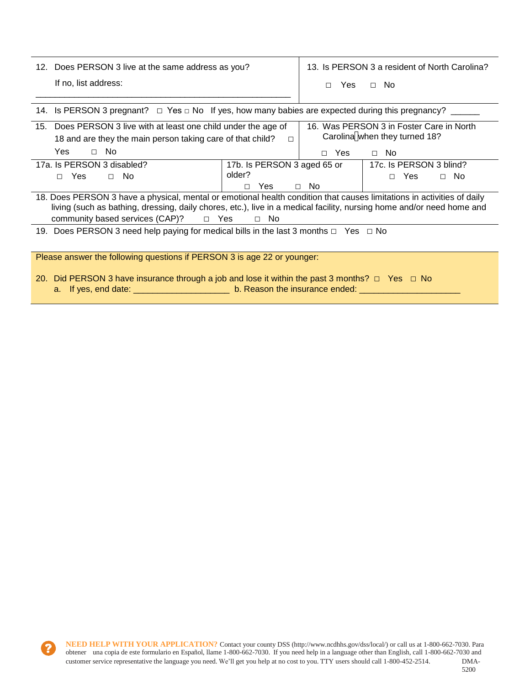| 12. Does PERSON 3 live at the same address as you?                                                         |        | 13. Is PERSON 3 a resident of North Carolina? |      |  |
|------------------------------------------------------------------------------------------------------------|--------|-----------------------------------------------|------|--|
| If no, list address:                                                                                       | $\Box$ | Yes                                           | ∩ No |  |
|                                                                                                            |        |                                               |      |  |
| 14. Is PERSON 3 pregnant? $\Box$ Yes $\Box$ No If yes, how many babies are expected during this pregnancy? |        |                                               |      |  |

| 15. Does PERSON 3 live with at least one child under the age of                                                                                                                                                                                 | 16. Was PERSON 3 in Foster Care in North |           |                               |  |
|-------------------------------------------------------------------------------------------------------------------------------------------------------------------------------------------------------------------------------------------------|------------------------------------------|-----------|-------------------------------|--|
| 18 and are they the main person taking care of that child?                                                                                                                                                                                      | п                                        |           | Carolina when they turned 18? |  |
| Yes<br>No.<br>$\Box$                                                                                                                                                                                                                            |                                          | Yes<br>П. | $\Box$ No                     |  |
| 17a. Is PERSON 3 disabled?                                                                                                                                                                                                                      | 17b. Is PERSON 3 aged 65 or              |           | 17c. Is PERSON 3 blind?       |  |
| <b>Yes</b><br>$\Box$ No<br>П.                                                                                                                                                                                                                   | older?                                   |           | Yes<br>$\Box$ No<br>П.        |  |
|                                                                                                                                                                                                                                                 | Yes<br>П.                                | $\Box$ No |                               |  |
| 18. Does PERSON 3 have a physical, mental or emotional health condition that causes limitations in activities of daily<br>living (such as bathing, dressing, daily chores, etc.), live in a medical facility, nursing home and/or need home and |                                          |           |                               |  |
| community based services $(CAP)?$ $\Box$ Yes                                                                                                                                                                                                    | $\Box$ No                                |           |                               |  |
| 19. Does PERSON 3 need help paying for medical bills in the last 3 months $\Box$ Yes $\Box$ No                                                                                                                                                  |                                          |           |                               |  |
| Please answer the following questions if PERSON 3 is age 22 or younger:                                                                                                                                                                         |                                          |           |                               |  |

20. Did PERSON 3 have insurance through a job and lose it within the past 3 months? □ Yes □ No a. If yes, end date: \_\_\_\_\_\_\_\_\_\_\_\_\_\_\_\_\_\_\_\_\_\_\_\_\_\_ b. Reason the insurance ended: \_\_\_\_\_\_\_\_\_\_\_\_\_\_\_\_\_\_\_\_\_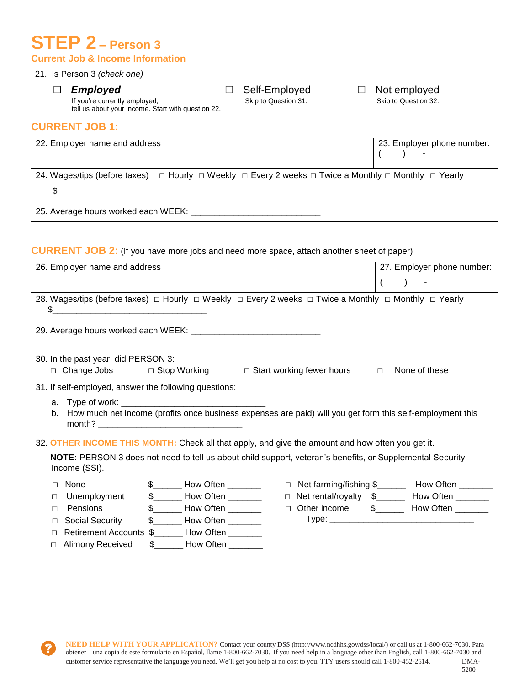# **STEP 2 – Person 3 Current Job & Income Information**

## 21. Is Person 3 *(check one)*

□ **Employed** □ Self-Employed □ Not employed<br>If you're currently employed, Skip to Question 31. Skip to Question 32.

tell us about your income. Start with question 22.

### **CURRENT JOB 1:**

| 22. Employer name and address                                                                                                      | 23. Employer phone number: |
|------------------------------------------------------------------------------------------------------------------------------------|----------------------------|
| 24. Wages/tips (before taxes) $\Box$ Hourly $\Box$ Weekly $\Box$ Every 2 weeks $\Box$ Twice a Monthly $\Box$ Monthly $\Box$ Yearly |                            |
|                                                                                                                                    |                            |
| 25. Average hours worked each WEEK: ________                                                                                       |                            |
| <b>CURRENT JOB 2:</b> (If you have more jobs and need more space, attach another sheet of paper)                                   |                            |

|        | 26. Employer name and address       |                                                                                                              | 27. Employer phone number:                          |
|--------|-------------------------------------|--------------------------------------------------------------------------------------------------------------|-----------------------------------------------------|
|        |                                     |                                                                                                              |                                                     |
| \$     |                                     | 28. Wages/tips (before taxes) □ Hourly □ Weekly □ Every 2 weeks □ Twice a Monthly □ Monthly □ Yearly         |                                                     |
|        |                                     |                                                                                                              |                                                     |
|        | 30. In the past year, did PERSON 3: |                                                                                                              |                                                     |
|        |                                     | □ Change Jobs □ Stop Working    □ Start working fewer hours    □                                             | None of these                                       |
|        |                                     | 31. If self-employed, answer the following questions:                                                        |                                                     |
|        |                                     | b. How much net income (profits once business expenses are paid) will you get form this self-employment this |                                                     |
|        |                                     | 32. OTHER INCOME THIS MONTH: Check all that apply, and give the amount and how often you get it.             |                                                     |
|        | Income (SSI).                       | NOTE: PERSON 3 does not need to tell us about child support, veteran's benefits, or Supplemental Security    |                                                     |
| $\Box$ | None                                | \$_______ How Often _______                                                                                  | □ Net farming/fishing \$_________ How Often _______ |
| □      | Unemployment                        | \$________ How Often ________                                                                                | □ Net rental/royalty \$_______ How Often _______    |
| $\Box$ | Pensions                            | \$ ________ How Often ________                                                                               | □ Other income \$_______ How Often _______          |
| □      | Social Security                     | $\frac{1}{2}$ How Often _________                                                                            |                                                     |
| п      |                                     | Retirement Accounts \$______ How Often ______                                                                |                                                     |
| $\Box$ | Alimony Received                    | How Often ______<br>S.                                                                                       |                                                     |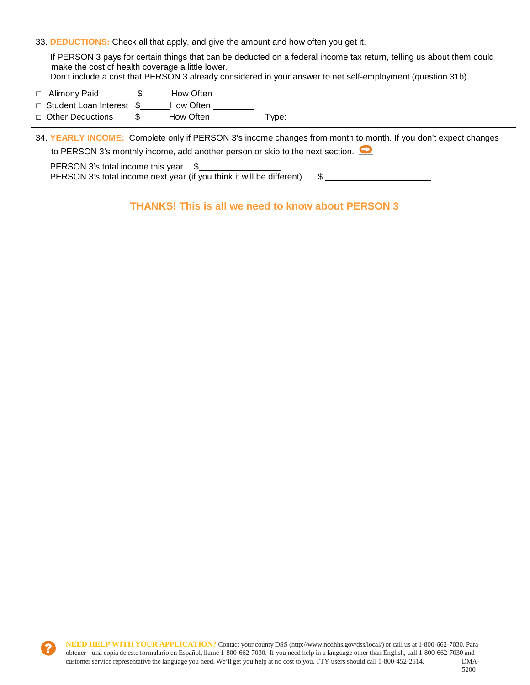33. **DEDUCTIONS:** Check all that apply, and give the amount and how often you get it.

If PERSON 3 pays for certain things that can be deducted on a federal income tax return, telling us about them could make the cost of health coverage a little lower.

Don't include a cost that PERSON 3 already considered in your answer to net self-employment (question 31b)

- □ Alimony Paid **\$** How Often
- □ Student Loan Interest \$ How Often
- □ Other Deductions \$ How Often Type:

34. **YEARLY INCOME:** Complete only if PERSON 3's income changes from month to month. If you don't expect changes to PERSON 3's monthly income, add another person or skip to the next section.  $\bullet$ 

PERSON 3's total income this year \$ PERSON 3's total income next year (if you think it will be different)  $$ \_$ 

**THANKS! This is all we need to know about PERSON 3**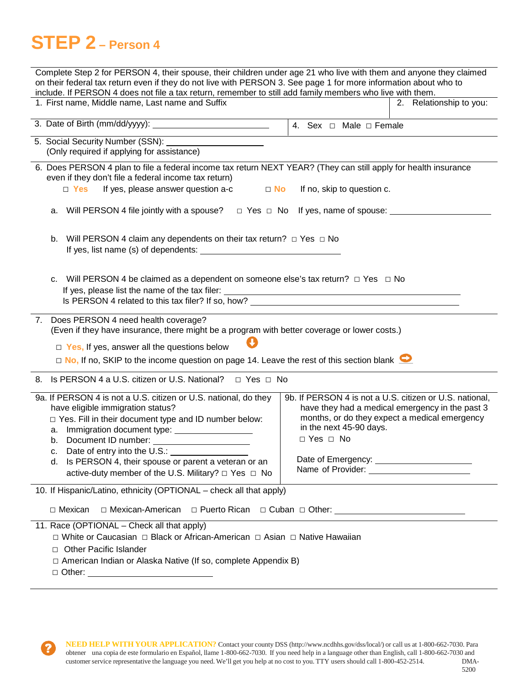# **STEP 2 – Person 4**

| Complete Step 2 for PERSON 4, their spouse, their children under age 21 who live with them and anyone they claimed<br>on their federal tax return even if they do not live with PERSON 3. See page 1 for more information about who to                                                                                                                     |                                                                                                                                                                                                                |  |  |  |
|------------------------------------------------------------------------------------------------------------------------------------------------------------------------------------------------------------------------------------------------------------------------------------------------------------------------------------------------------------|----------------------------------------------------------------------------------------------------------------------------------------------------------------------------------------------------------------|--|--|--|
| include. If PERSON 4 does not file a tax return, remember to still add family members who live with them.                                                                                                                                                                                                                                                  |                                                                                                                                                                                                                |  |  |  |
| 1. First name, Middle name, Last name and Suffix                                                                                                                                                                                                                                                                                                           | 2. Relationship to you:                                                                                                                                                                                        |  |  |  |
|                                                                                                                                                                                                                                                                                                                                                            | 4. Sex $\Box$ Male $\Box$ Female                                                                                                                                                                               |  |  |  |
| 5. Social Security Number (SSN):                                                                                                                                                                                                                                                                                                                           |                                                                                                                                                                                                                |  |  |  |
| (Only required if applying for assistance)                                                                                                                                                                                                                                                                                                                 |                                                                                                                                                                                                                |  |  |  |
| 6. Does PERSON 4 plan to file a federal income tax return NEXT YEAR? (They can still apply for health insurance<br>even if they don't file a federal income tax return)                                                                                                                                                                                    |                                                                                                                                                                                                                |  |  |  |
| $\Box$ Yes<br>If yes, please answer question a-c<br>$\Box$ No                                                                                                                                                                                                                                                                                              | If no, skip to question c.                                                                                                                                                                                     |  |  |  |
| Will PERSON 4 file jointly with a spouse? $\Box$ Yes $\Box$ No If yes, name of spouse: _______<br>а.                                                                                                                                                                                                                                                       |                                                                                                                                                                                                                |  |  |  |
| Will PERSON 4 claim any dependents on their tax return? $\Box$ Yes $\Box$ No<br>b.<br>If yes, list name (s) of dependents:                                                                                                                                                                                                                                 |                                                                                                                                                                                                                |  |  |  |
| Will PERSON 4 be claimed as a dependent on someone else's tax return? $\Box$ Yes $\Box$ No<br>C.<br>If yes, please list the name of the tax filer:<br><u> 1989 - Johann Stoff, deutscher Stoffen und der Stoffen und der Stoffen und der Stoffen und der Stoffen und der</u>                                                                               |                                                                                                                                                                                                                |  |  |  |
| 7. Does PERSON 4 need health coverage?<br>(Even if they have insurance, there might be a program with better coverage or lower costs.)<br>$\Box$ Yes, If yes, answer all the questions below<br>$\Box$ No, If no, SKIP to the income question on page 14. Leave the rest of this section blank $\Box$                                                      |                                                                                                                                                                                                                |  |  |  |
| 8. Is PERSON 4 a U.S. citizen or U.S. National? □ Yes □ No                                                                                                                                                                                                                                                                                                 |                                                                                                                                                                                                                |  |  |  |
| 9a. If PERSON 4 is not a U.S. citizen or U.S. national, do they<br>have eligible immigration status?<br>□ Yes. Fill in their document type and ID number below:<br>b. Document ID number:<br>c. Date of entry into the U.S.:<br>Is PERSON 4, their spouse or parent a veteran or an<br>d.<br>active-duty member of the U.S. Military? $\Box$ Yes $\Box$ No | 9b. If PERSON 4 is not a U.S. citizen or U.S. national,<br>have they had a medical emergency in the past 3<br>months, or do they expect a medical emergency<br>in the next 45-90 days.<br>$\Box$ Yes $\Box$ No |  |  |  |
| 10. If Hispanic/Latino, ethnicity (OPTIONAL - check all that apply)                                                                                                                                                                                                                                                                                        |                                                                                                                                                                                                                |  |  |  |
| $\Box$ Mexican<br>□ Mexican-American                                                                                                                                                                                                                                                                                                                       |                                                                                                                                                                                                                |  |  |  |
| 11. Race (OPTIONAL - Check all that apply)<br>□ White or Caucasian □ Black or African-American □ Asian □ Native Hawaiian<br><b>Other Pacific Islander</b><br>$\Box$<br>□ American Indian or Alaska Native (If so, complete Appendix B)<br>□ Other: ___________________________________                                                                     |                                                                                                                                                                                                                |  |  |  |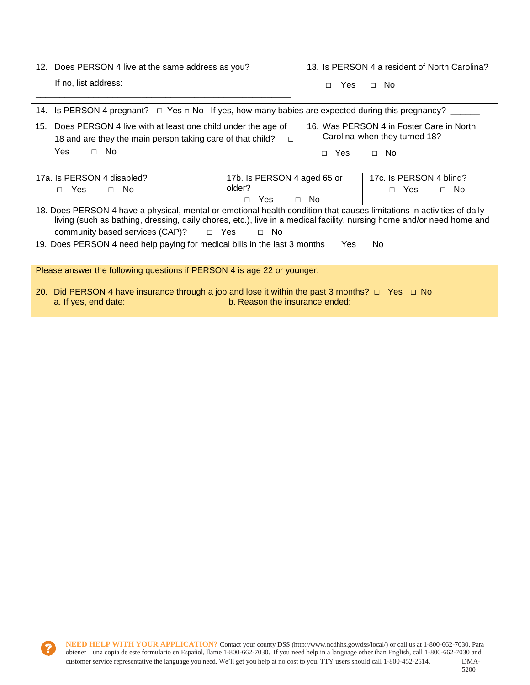| 12. Does PERSON 4 live at the same address as you?                                                         |  | 13. Is PERSON 4 a resident of North Carolina? |            |  |
|------------------------------------------------------------------------------------------------------------|--|-----------------------------------------------|------------|--|
| If no, list address:                                                                                       |  |                                               | □ Yes □ No |  |
|                                                                                                            |  |                                               |            |  |
| 14. Is PERSON 4 pregnant? $\Box$ Yes $\Box$ No If yes, how many babies are expected during this pregnancy? |  |                                               |            |  |

| 15. Does PERSON 4 live with at least one child under the age of<br>18 and are they the main person taking care of that child?                                                                                                                                                                                     |                                       | 16. Was PERSON 4 in Foster Care in North<br>Carolina when they turned 18? |  |  |
|-------------------------------------------------------------------------------------------------------------------------------------------------------------------------------------------------------------------------------------------------------------------------------------------------------------------|---------------------------------------|---------------------------------------------------------------------------|--|--|
| <b>Yes</b><br>No.<br>$\Box$                                                                                                                                                                                                                                                                                       | Yes<br>п                              | No.<br>$\Box$                                                             |  |  |
| 17a. Is PERSON 4 disabled?<br><b>Yes</b><br>$\Box$ No<br>П.                                                                                                                                                                                                                                                       | 17b. Is PERSON 4 aged 65 or<br>older? | 17c. Is PERSON 4 blind?<br><b>Yes</b><br>$\Box$ No<br>П.                  |  |  |
|                                                                                                                                                                                                                                                                                                                   | $\Box$ No<br>Yes<br>п                 |                                                                           |  |  |
| 18. Does PERSON 4 have a physical, mental or emotional health condition that causes limitations in activities of daily<br>living (such as bathing, dressing, daily chores, etc.), live in a medical facility, nursing home and/or need home and<br>community based services (CAP)?<br>$\Box$ Yes<br>No.<br>$\Box$ |                                       |                                                                           |  |  |
| 19. Does PERSON 4 need help paying for medical bills in the last 3 months                                                                                                                                                                                                                                         |                                       | Yes<br>No.                                                                |  |  |
| Please answer the following questions if PERSON 4 is age 22 or younger:                                                                                                                                                                                                                                           |                                       |                                                                           |  |  |

20. Did PERSON 4 have insurance through a job and lose it within the past 3 months?  $\Box$  Yes  $\Box$  No a. If yes, end date: \_\_\_\_\_\_\_\_\_\_\_\_\_\_\_\_\_\_\_\_\_\_\_\_\_\_\_\_ b. Reason the insurance ended: \_\_\_\_\_\_\_\_\_\_\_\_\_\_\_\_\_\_\_\_\_\_\_\_\_\_\_\_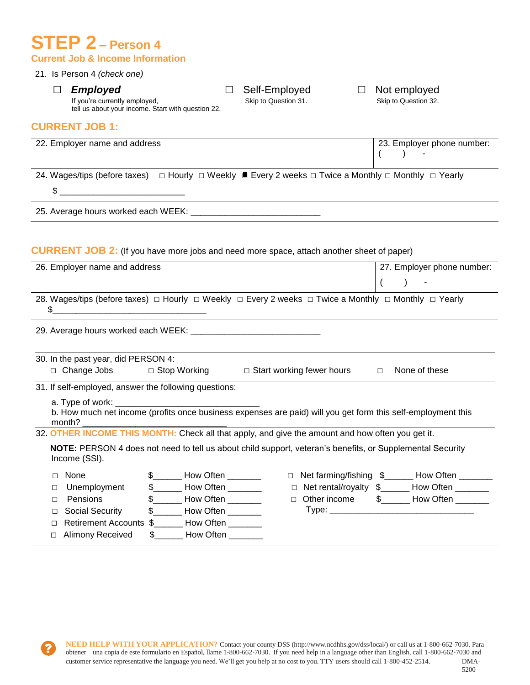## **STEP 2 – Person 4 Current Job & Income Information**

## 21. Is Person 4 *(check one)*

□ *Employed* □ Self-Employed □ Not employed<br>If you're currently employed, Skip to Question 31. Skip to Question 32.

tell us about your income. Start with question 22.

## **CURRENT JOB 1:**

| 22. Employer name and address                                                                                                                                                                                                                                                                                       |                                                                                                                               |                                  | 23. Employer phone number:<br>$\rightarrow$<br>$\left($ |
|---------------------------------------------------------------------------------------------------------------------------------------------------------------------------------------------------------------------------------------------------------------------------------------------------------------------|-------------------------------------------------------------------------------------------------------------------------------|----------------------------------|---------------------------------------------------------|
|                                                                                                                                                                                                                                                                                                                     | 24. Wages/tips (before taxes) $\Box$ Hourly $\Box$ Weekly ■ Every 2 weeks $\Box$ Twice a Monthly $\Box$ Monthly $\Box$ Yearly |                                  |                                                         |
| $\frac{1}{2}$ $\frac{1}{2}$ $\frac{1}{2}$ $\frac{1}{2}$ $\frac{1}{2}$ $\frac{1}{2}$ $\frac{1}{2}$ $\frac{1}{2}$ $\frac{1}{2}$ $\frac{1}{2}$ $\frac{1}{2}$ $\frac{1}{2}$ $\frac{1}{2}$ $\frac{1}{2}$ $\frac{1}{2}$ $\frac{1}{2}$ $\frac{1}{2}$ $\frac{1}{2}$ $\frac{1}{2}$ $\frac{1}{2}$ $\frac{1}{2}$ $\frac{1}{2}$ |                                                                                                                               |                                  |                                                         |
|                                                                                                                                                                                                                                                                                                                     |                                                                                                                               |                                  |                                                         |
|                                                                                                                                                                                                                                                                                                                     |                                                                                                                               |                                  |                                                         |
|                                                                                                                                                                                                                                                                                                                     | <b>CURRENT JOB 2:</b> (If you have more jobs and need more space, attach another sheet of paper)                              |                                  |                                                         |
| 26. Employer name and address                                                                                                                                                                                                                                                                                       |                                                                                                                               |                                  | 27. Employer phone number:                              |
|                                                                                                                                                                                                                                                                                                                     |                                                                                                                               |                                  | $\lambda$<br>(<br>$\overline{\phantom{a}}$              |
|                                                                                                                                                                                                                                                                                                                     | 28. Wages/tips (before taxes) □ Hourly □ Weekly □ Every 2 weeks □ Twice a Monthly □ Monthly □ Yearly                          |                                  |                                                         |
|                                                                                                                                                                                                                                                                                                                     |                                                                                                                               |                                  |                                                         |
| 30. In the past year, did PERSON 4:<br>□ Change Jobs                                                                                                                                                                                                                                                                | □ Stop Working                                                                                                                | $\Box$ Start working fewer hours | None of these<br>$\Box$                                 |
| 31. If self-employed, answer the following questions:                                                                                                                                                                                                                                                               |                                                                                                                               |                                  |                                                         |
| a. Type of work:<br>month?                                                                                                                                                                                                                                                                                          | b. How much net income (profits once business expenses are paid) will you get form this self-employment this                  |                                  |                                                         |
|                                                                                                                                                                                                                                                                                                                     | 32. OTHER INCOME THIS MONTH: Check all that apply, and give the amount and how often you get it.                              |                                  |                                                         |
| Income (SSI).                                                                                                                                                                                                                                                                                                       | NOTE: PERSON 4 does not need to tell us about child support, veteran's benefits, or Supplemental Security                     |                                  |                                                         |
| None<br>П                                                                                                                                                                                                                                                                                                           | $$$ How Often                                                                                                                 |                                  | □ Net farming/fishing \$_______ How Often _______       |
| Unemployment<br>□                                                                                                                                                                                                                                                                                                   | $$$ How Often $$$                                                                                                             |                                  | □ Net rental/royalty \$_______ How Often _______        |
| Pensions<br>П                                                                                                                                                                                                                                                                                                       | \$ _____ How Often ________                                                                                                   | $\Box$ Other income              |                                                         |
| <b>Social Security</b><br>$\Box$                                                                                                                                                                                                                                                                                    | $\frac{1}{2}$ How Often _________                                                                                             |                                  |                                                         |
| П                                                                                                                                                                                                                                                                                                                   | Retirement Accounts \$_______ How Often _______                                                                               |                                  |                                                         |
| □ Alimony Received                                                                                                                                                                                                                                                                                                  | How Often                                                                                                                     |                                  |                                                         |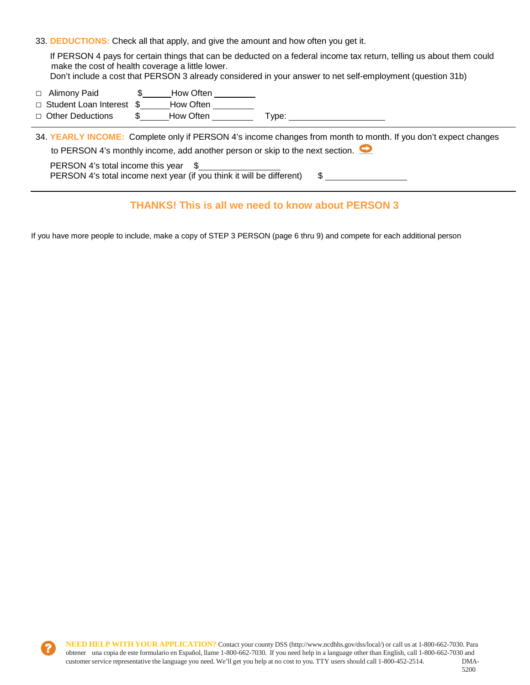33. **DEDUCTIONS:** Check all that apply, and give the amount and how often you get it.

If PERSON 4 pays for certain things that can be deducted on a federal income tax return, telling us about them could make the cost of health coverage a little lower. Don't include a cost that PERSON 3 already considered in your answer to net self-employment (question 31b)

- □ Alimony Paid **\$** How Often
- □ Student Loan Interest \$ How Often
- □ Other Deductions \$\_\_\_\_\_How Often \_\_\_\_\_\_\_\_\_\_\_ Type: \_\_\_\_

34. **YEARLY INCOME:** Complete only if PERSON 4's income changes from month to month. If you don't expect changes to PERSON 4's monthly income, add another person or skip to the next section. PERSON 4's total income this year \$

PERSON 4's total income next year (if you think it will be different) \$

## **THANKS! This is all we need to know about PERSON 3**

If you have more people to include, make a copy of STEP 3 PERSON (page 6 thru 9) and compete for each additional person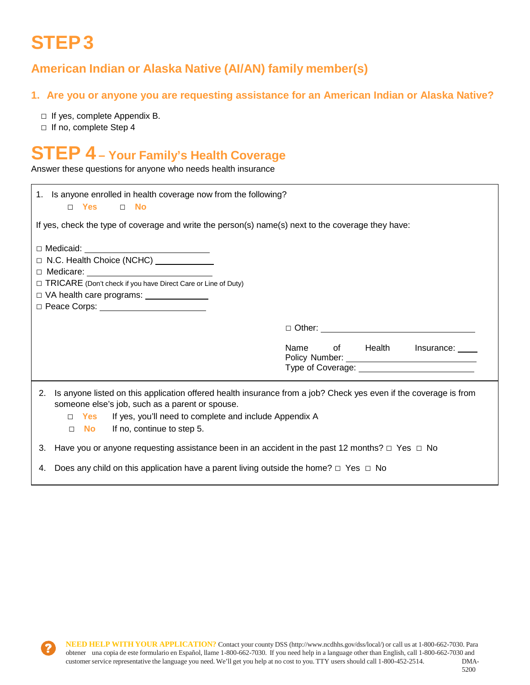# **STEP 3**

## **American Indian or Alaska Native (AI/AN) family member(s)**

## **1. Are you or anyone you are requesting assistance for an American Indian or Alaska Native?**

- □ If yes, complete Appendix B.
- □ If no, complete Step 4

# **STEP 4 – Your Family's Health Coverage**

Answer these questions for anyone who needs health insurance

| 1. Is anyone enrolled in health coverage now from the following?<br>□ Yes t<br>$\Box$ No                                                                                                                                                                                                       |                                                                                            |
|------------------------------------------------------------------------------------------------------------------------------------------------------------------------------------------------------------------------------------------------------------------------------------------------|--------------------------------------------------------------------------------------------|
| If yes, check the type of coverage and write the person(s) name(s) next to the coverage they have:                                                                                                                                                                                             |                                                                                            |
| □ Medicaid: __________________________________<br>□ N.C. Health Choice (NCHC) <u>________</u><br>□ TRICARE (Don't check if you have Direct Care or Line of Duty)<br>□ VA health care programs: _______________                                                                                 |                                                                                            |
|                                                                                                                                                                                                                                                                                                |                                                                                            |
|                                                                                                                                                                                                                                                                                                | Name<br>of Health<br>Insurance:<br>Type of Coverage: National Coverage: National Coverage: |
| 2. Is anyone listed on this application offered health insurance from a job? Check yes even if the coverage is from<br>someone else's job, such as a parent or spouse.<br>Yes If yes, you'll need to complete and include Appendix A<br>$\Box$<br>If no, continue to step 5.<br>No l<br>$\Box$ |                                                                                            |
| 3. Have you or anyone requesting assistance been in an accident in the past 12 months? $\Box$ Yes $\Box$ No                                                                                                                                                                                    |                                                                                            |
| 4. Does any child on this application have a parent living outside the home? $\Box$ Yes $\Box$ No                                                                                                                                                                                              |                                                                                            |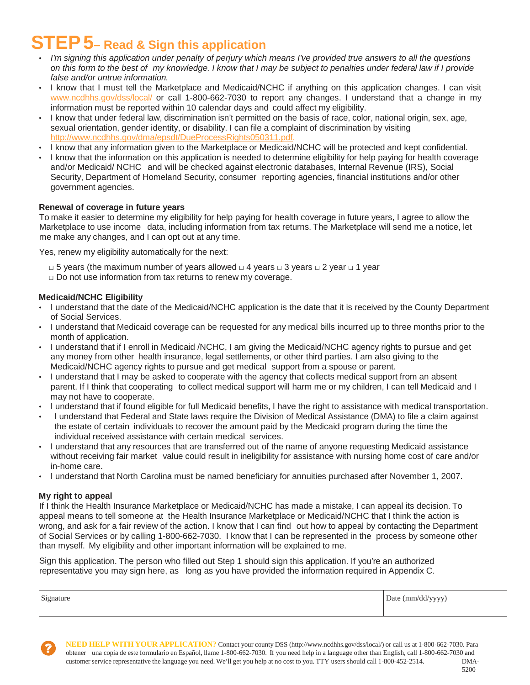# **STEP 5– Read & Sign this application**

- *I'm signing this application under penalty of perjury which means I've provided true answers to all the questions on this form to the best of my knowledge. I know that I may be subject to penalties under federal law if I provide false and/or untrue information.*
- I know that I must tell the Marketplace and Medicaid/NCHC if anything on this application changes. I can visit [www.ncdhhs.gov/dss/local/](http://www.ncdhhs.gov/dss/local/) or call 1-800-662-7030 to report any changes. I understand that a change in my information must be reported within 10 calendar days and could affect my eligibility.
- I know that under federal law, discrimination isn't permitted on the basis of race, color, national origin, sex, age, sexual orientation, gender identity, or disability. I can file a complaint of discrimination by visiting [http://www.ncdhhs.gov/dma/epsdt/DueProcessRights050311.pdf.](http://www.ncdhhs.gov/dma/epsdt/DueProcessRights050311.pdf)
- I know that any information given to the Marketplace or Medicaid/NCHC will be protected and kept confidential.
- I know that the information on this application is needed to determine eligibility for help paying for health coverage and/or Medicaid/ NCHC and will be checked against electronic databases, Internal Revenue (IRS), Social Security, Department of Homeland Security, consumer reporting agencies, financial institutions and/or other government agencies.

### **Renewal of coverage in future years**

To make it easier to determine my eligibility for help paying for health coverage in future years, I agree to allow the Marketplace to use income data, including information from tax returns. The Marketplace will send me a notice, let me make any changes, and I can opt out at any time.

Yes, renew my eligibility automatically for the next:

- **□** 5 years (the maximum number of years allowed **□** 4 years □ 3 years **□** 2 year **□** 1 year
- **□** Do not use information from tax returns to renew my coverage.

### **Medicaid/NCHC Eligibility**

- I understand that the date of the Medicaid/NCHC application is the date that it is received by the County Department of Social Services.
- I understand that Medicaid coverage can be requested for any medical bills incurred up to three months prior to the month of application.
- I understand that if I enroll in Medicaid /NCHC, I am giving the Medicaid/NCHC agency rights to pursue and get any money from other health insurance, legal settlements, or other third parties. I am also giving to the Medicaid/NCHC agency rights to pursue and get medical support from a spouse or parent.
- I understand that I may be asked to cooperate with the agency that collects medical support from an absent parent. If I think that cooperating to collect medical support will harm me or my children, I can tell Medicaid and I may not have to cooperate.
- I understand that if found eligible for full Medicaid benefits, I have the right to assistance with medical transportation.
- I understand that Federal and State laws require the Division of Medical Assistance (DMA) to file a claim against the estate of certain individuals to recover the amount paid by the Medicaid program during the time the individual received assistance with certain medical services.
- I understand that any resources that are transferred out of the name of anyone requesting Medicaid assistance without receiving fair market value could result in ineligibility for assistance with nursing home cost of care and/or in-home care.
- I understand that North Carolina must be named beneficiary for annuities purchased after November 1, 2007.

#### **My right to appeal**

If I think the Health Insurance Marketplace or Medicaid/NCHC has made a mistake, I can appeal its decision. To appeal means to tell someone at the Health Insurance Marketplace or Medicaid/NCHC that I think the action is wrong, and ask for a fair review of the action. I know that I can find out how to appeal by contacting the Department of Social Services or by calling 1-800-662-7030. I know that I can be represented in the process by someone other than myself. My eligibility and other important information will be explained to me.

Sign this application. The person who filled out Step 1 should sign this application. If you're an authorized representative you may sign here, as long as you have provided the information required in Appendix C.

| Signature | Date $\text{(mm/dd/yyyy)}$<br>, , , , ,<br>. |
|-----------|----------------------------------------------|
|           |                                              |